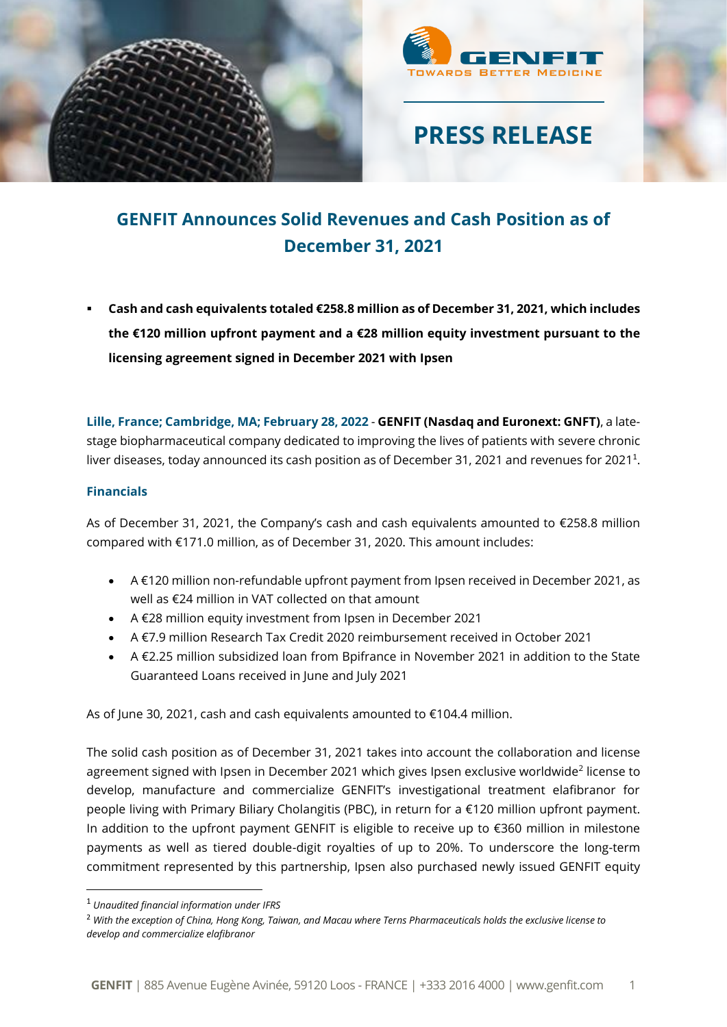



## **GENFIT Announces Solid Revenues and Cash Position as of December 31, 2021**

▪ **Cash and cash equivalents totaled €258.8 million as of December 31, 2021, which includes the €120 million upfront payment and a €28 million equity investment pursuant to the licensing agreement signed in December 2021 with Ipsen**

**Lille, France; Cambridge, MA; February 28, 2022** - **GENFIT (Nasdaq and Euronext: GNFT)**, a latestage biopharmaceutical company dedicated to improving the lives of patients with severe chronic liver diseases, today announced its cash position as of December 31, 2021 and revenues for 2021<sup>1</sup>.

### **Financials**

As of December 31, 2021, the Company's cash and cash equivalents amounted to €258.8 million compared with €171.0 million, as of December 31, 2020. This amount includes:

- A €120 million non-refundable upfront payment from Ipsen received in December 2021, as well as €24 million in VAT collected on that amount
- A €28 million equity investment from Ipsen in December 2021
- A €7.9 million Research Tax Credit 2020 reimbursement received in October 2021
- A €2.25 million subsidized loan from Bpifrance in November 2021 in addition to the State Guaranteed Loans received in June and July 2021

As of June 30, 2021, cash and cash equivalents amounted to €104.4 million.

The solid cash position as of December 31, 2021 takes into account the collaboration and license agreement signed with Ipsen in December 2021 which gives Ipsen exclusive worldwide<sup>2</sup> license to develop, manufacture and commercialize GENFIT's investigational treatment elafibranor for people living with Primary Biliary Cholangitis (PBC), in return for a €120 million upfront payment. In addition to the upfront payment GENFIT is eligible to receive up to €360 million in milestone payments as well as tiered double-digit royalties of up to 20%. To underscore the long-term commitment represented by this partnership, Ipsen also purchased newly issued GENFIT equity

<sup>1</sup> *Unaudited financial information under IFRS*

<sup>2</sup> *With the exception of China, Hong Kong, Taiwan, and Macau where Terns Pharmaceuticals holds the exclusive license to develop and commercialize elafibranor*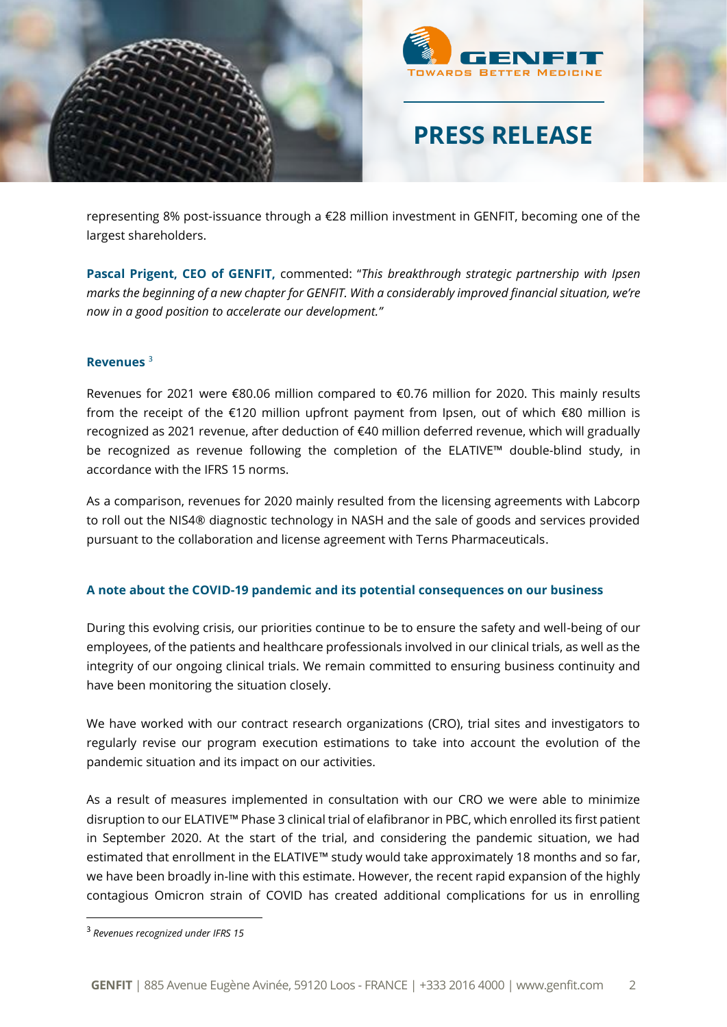



representing 8% post-issuance through a €28 million investment in GENFIT, becoming one of the largest shareholders.

**Pascal Prigent, CEO of GENFIT,** commented: "*This breakthrough strategic partnership with Ipsen marks the beginning of a new chapter for GENFIT. With a considerably improved financial situation, we're now in a good position to accelerate our development."*

### **Revenues** <sup>3</sup>

Revenues for 2021 were €80.06 million compared to €0.76 million for 2020. This mainly results from the receipt of the €120 million upfront payment from Ipsen, out of which €80 million is recognized as 2021 revenue, after deduction of €40 million deferred revenue, which will gradually be recognized as revenue following the completion of the ELATIVE™ double-blind study, in accordance with the IFRS 15 norms.

As a comparison, revenues for 2020 mainly resulted from the licensing agreements with Labcorp to roll out the NIS4® diagnostic technology in NASH and the sale of goods and services provided pursuant to the collaboration and license agreement with Terns Pharmaceuticals.

### **A note about the COVID-19 pandemic and its potential consequences on our business**

During this evolving crisis, our priorities continue to be to ensure the safety and well-being of our employees, of the patients and healthcare professionals involved in our clinical trials, as well as the integrity of our ongoing clinical trials. We remain committed to ensuring business continuity and have been monitoring the situation closely.

We have worked with our contract research organizations (CRO), trial sites and investigators to regularly revise our program execution estimations to take into account the evolution of the pandemic situation and its impact on our activities.

As a result of measures implemented in consultation with our CRO we were able to minimize disruption to our ELATIVE™ Phase 3 clinical trial of elafibranor in PBC, which enrolled its first patient in September 2020. At the start of the trial, and considering the pandemic situation, we had estimated that enrollment in the ELATIVE™ study would take approximately 18 months and so far, we have been broadly in-line with this estimate. However, the recent rapid expansion of the highly contagious Omicron strain of COVID has created additional complications for us in enrolling

<sup>3</sup> *Revenues recognized under IFRS 15*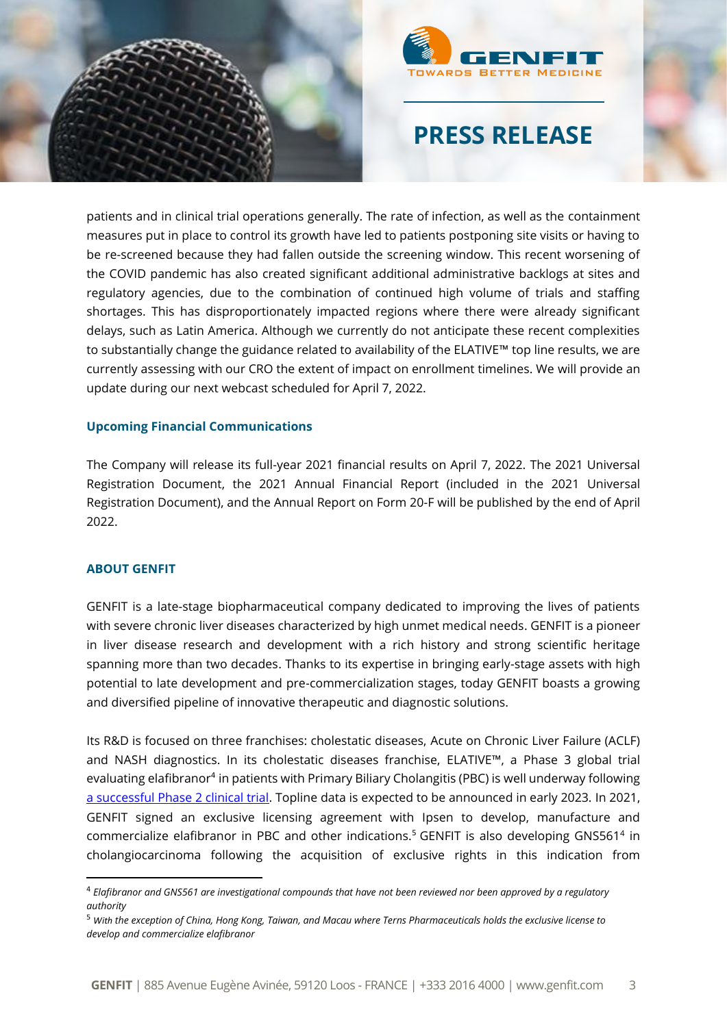



patients and in clinical trial operations generally. The rate of infection, as well as the containment measures put in place to control its growth have led to patients postponing site visits or having to be re-screened because they had fallen outside the screening window. This recent worsening of the COVID pandemic has also created significant additional administrative backlogs at sites and regulatory agencies, due to the combination of continued high volume of trials and staffing shortages. This has disproportionately impacted regions where there were already significant delays, such as Latin America. Although we currently do not anticipate these recent complexities to substantially change the guidance related to availability of the ELATIVE™ top line results, we are currently assessing with our CRO the extent of impact on enrollment timelines. We will provide an update during our next webcast scheduled for April 7, 2022.

#### **Upcoming Financial Communications**

The Company will release its full-year 2021 financial results on April 7, 2022. The 2021 Universal Registration Document, the 2021 Annual Financial Report (included in the 2021 Universal Registration Document), and the Annual Report on Form 20-F will be published by the end of April 2022.

### **ABOUT GENFIT**

GENFIT is a late-stage biopharmaceutical company dedicated to improving the lives of patients with severe chronic liver diseases characterized by high unmet medical needs. GENFIT is a pioneer in liver disease research and development with a rich history and strong scientific heritage spanning more than two decades. Thanks to its expertise in bringing early-stage assets with high potential to late development and pre-commercialization stages, today GENFIT boasts a growing and diversified pipeline of innovative therapeutic and diagnostic solutions.

Its R&D is focused on three franchises: cholestatic diseases, Acute on Chronic Liver Failure (ACLF) and NASH diagnostics. In its cholestatic diseases franchise, ELATIVE™, a Phase 3 global trial evaluating elafibranor<sup>4</sup> in patients with Primary Biliary Cholangitis (PBC) is well underway following [a successful Phase 2 clinical trial.](https://pubmed.ncbi.nlm.nih.gov/33484775/) Topline data is expected to be announced in early 2023. In 2021, GENFIT signed an exclusive licensing agreement with Ipsen to develop, manufacture and commercialize elafibranor in PBC and other indications.<sup>5</sup> GENFIT is also developing GNS561<sup>4</sup> in cholangiocarcinoma following the acquisition of exclusive rights in this indication from

<sup>4</sup> *Elafibranor and GNS561 are investigational compounds that have not been reviewed nor been approved by a regulatory authority*

<sup>5</sup> *With the exception of China, Hong Kong, Taiwan, and Macau where Terns Pharmaceuticals holds the exclusive license to develop and commercialize elafibranor*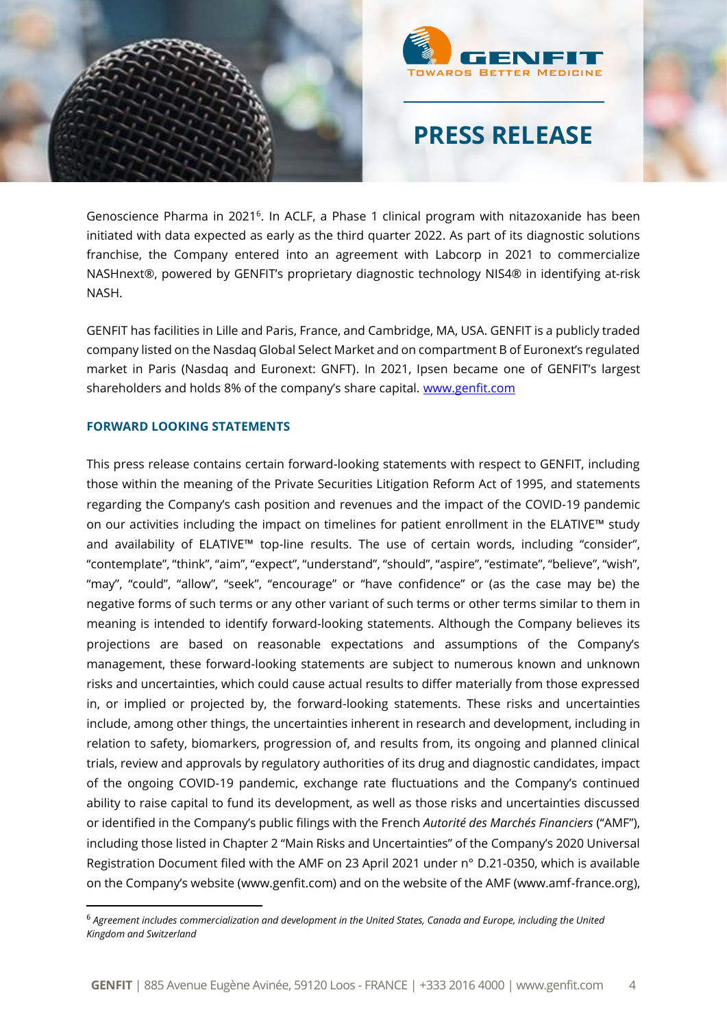



Genoscience Pharma in 2021<sup>6</sup>. In ACLF, a Phase 1 clinical program with nitazoxanide has been initiated with data expected as early as the third quarter 2022. As part of its diagnostic solutions franchise, the Company entered into an agreement with Labcorp in 2021 to commercialize NASHnext®, powered by GENFIT's proprietary diagnostic technology NIS4® in identifying at-risk NASH.

GENFIT has facilities in Lille and Paris, France, and Cambridge, MA, USA. GENFIT is a publicly traded company listed on the Nasdaq Global Select Market and on compartment B of Euronext's regulated market in Paris (Nasdaq and Euronext: GNFT). In 2021, Ipsen became one of GENFIT's largest shareholders and holds 8% of the company's share capital. [www.genfit.com](http://www.genfit.com/)

#### **FORWARD LOOKING STATEMENTS**

This press release contains certain forward-looking statements with respect to GENFIT, including those within the meaning of the Private Securities Litigation Reform Act of 1995, and statements regarding the Company's cash position and revenues and the impact of the COVID-19 pandemic on our activities including the impact on timelines for patient enrollment in the ELATIVE™ study and availability of ELATIVE™ top-line results. The use of certain words, including "consider", "contemplate", "think", "aim", "expect", "understand", "should", "aspire", "estimate", "believe", "wish", "may", "could", "allow", "seek", "encourage" or "have confidence" or (as the case may be) the negative forms of such terms or any other variant of such terms or other terms similar to them in meaning is intended to identify forward-looking statements. Although the Company believes its projections are based on reasonable expectations and assumptions of the Company's management, these forward-looking statements are subject to numerous known and unknown risks and uncertainties, which could cause actual results to differ materially from those expressed in, or implied or projected by, the forward-looking statements. These risks and uncertainties include, among other things, the uncertainties inherent in research and development, including in relation to safety, biomarkers, progression of, and results from, its ongoing and planned clinical trials, review and approvals by regulatory authorities of its drug and diagnostic candidates, impact of the ongoing COVID-19 pandemic, exchange rate fluctuations and the Company's continued ability to raise capital to fund its development, as well as those risks and uncertainties discussed or identified in the Company's public filings with the French *Autorité des Marchés Financiers* ("AMF"), including those listed in Chapter 2 "Main Risks and Uncertainties" of the Company's 2020 Universal Registration Document filed with the AMF on 23 April 2021 under n° D.21-0350, which is available on the Company's website (www.genfit.com) and on the website of the AMF (www.amf-france.org),

<sup>6</sup> *Agreement includes commercialization and development in the United States, Canada and Europe, including the United Kingdom and Switzerland*